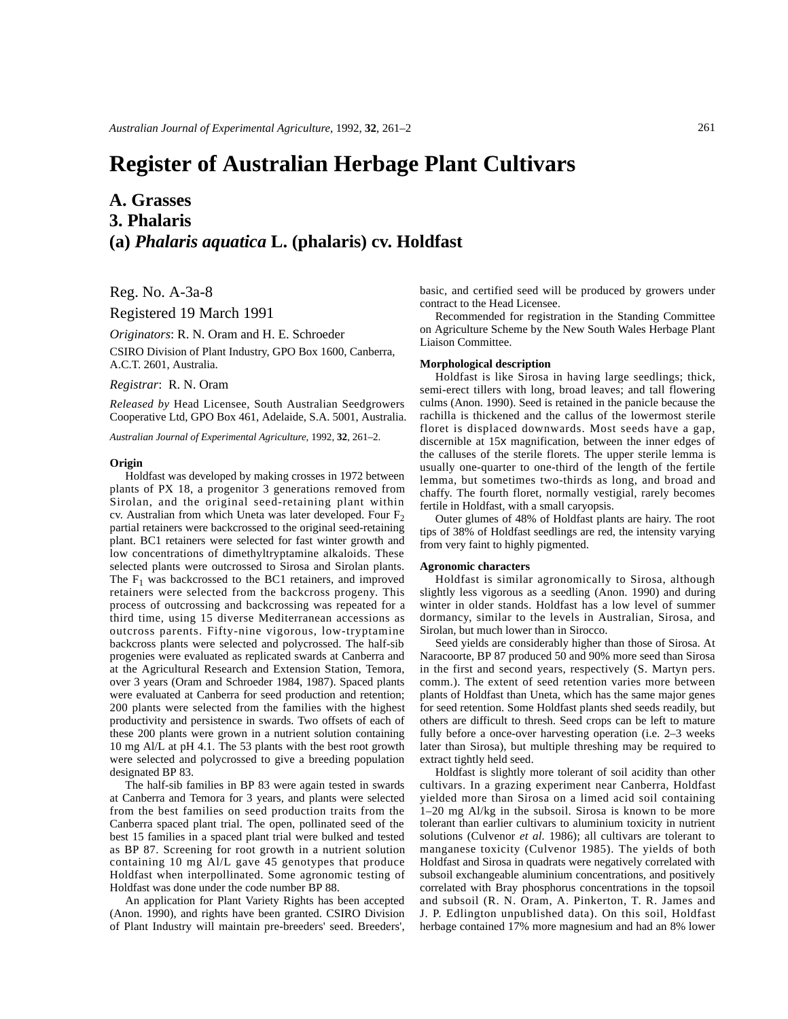# **Register of Australian Herbage Plant Cultivars**

## **A. Grasses 3. Phalaris (a)** *Phalaris aquatica* **L. (phalaris) cv. Holdfast**

Reg. No. A-3a-8

Registered 19 March 1991

*Originators*: R. N. Oram and H. E. Schroeder CSIRO Division of Plant Industry, GPO Box 1600, Canberra, A.C.T. 2601, Australia.

### *Registrar*: R. N. Oram

*Released by* Head Licensee, South Australian Seedgrowers Cooperative Ltd, GPO Box 461, Adelaide, S.A. 5001, Australia.

*Australian Journal of Experimental Agriculture,* 1992, **32**, 261–2.

#### **Origin**

Holdfast was developed by making crosses in 1972 between plants of PX 18, a progenitor 3 generations removed from Sirolan, and the original seed-retaining plant within cv. Australian from which Uneta was later developed. Four  $F_2$ partial retainers were backcrossed to the original seed-retaining plant. BC1 retainers were selected for fast winter growth and low concentrations of dimethyltryptamine alkaloids. These selected plants were outcrossed to Sirosa and Sirolan plants. The  $F_1$  was backcrossed to the BC1 retainers, and improved retainers were selected from the backcross progeny. This process of outcrossing and backcrossing was repeated for a third time, using 15 diverse Mediterranean accessions as outcross parents. Fifty-nine vigorous, low-tryptamine backcross plants were selected and polycrossed. The half-sib progenies were evaluated as replicated swards at Canberra and at the Agricultural Research and Extension Station, Temora, over 3 years (Oram and Schroeder 1984, 1987). Spaced plants were evaluated at Canberra for seed production and retention; 200 plants were selected from the families with the highest productivity and persistence in swards. Two offsets of each of these 200 plants were grown in a nutrient solution containing 10 mg Al/L at pH 4.1. The 53 plants with the best root growth were selected and polycrossed to give a breeding population designated BP 83.

The half-sib families in BP 83 were again tested in swards at Canberra and Temora for 3 years, and plants were selected from the best families on seed production traits from the Canberra spaced plant trial. The open, pollinated seed of the best 15 families in a spaced plant trial were bulked and tested as BP 87. Screening for root growth in a nutrient solution containing 10 mg Al/L gave 45 genotypes that produce Holdfast when interpollinated. Some agronomic testing of Holdfast was done under the code number BP 88.

An application for Plant Variety Rights has been accepted (Anon. 1990), and rights have been granted. CSIRO Division of Plant Industry will maintain pre-breeders' seed. Breeders', basic, and certified seed will be produced by growers under contract to the Head Licensee.

Recommended for registration in the Standing Committee on Agriculture Scheme by the New South Wales Herbage Plant Liaison Committee.

#### **Morphological description**

Holdfast is like Sirosa in having large seedlings; thick, semi-erect tillers with long, broad leaves; and tall flowering culms (Anon. 1990). Seed is retained in the panicle because the rachilla is thickened and the callus of the lowermost sterile floret is displaced downwards. Most seeds have a gap, discernible at 15x magnification, between the inner edges of the calluses of the sterile florets. The upper sterile lemma is usually one-quarter to one-third of the length of the fertile lemma, but sometimes two-thirds as long, and broad and chaffy. The fourth floret, normally vestigial, rarely becomes fertile in Holdfast, with a small caryopsis.

Outer glumes of 48% of Holdfast plants are hairy. The root tips of 38% of Holdfast seedlings are red, the intensity varying from very faint to highly pigmented.

#### **Agronomic characters**

Holdfast is similar agronomically to Sirosa, although slightly less vigorous as a seedling (Anon. 1990) and during winter in older stands. Holdfast has a low level of summer dormancy, similar to the levels in Australian, Sirosa, and Sirolan, but much lower than in Sirocco.

Seed yields are considerably higher than those of Sirosa. At Naracoorte, BP 87 produced 50 and 90% more seed than Sirosa in the first and second years, respectively (S. Martyn pers. comm.). The extent of seed retention varies more between plants of Holdfast than Uneta, which has the same major genes for seed retention. Some Holdfast plants shed seeds readily, but others are difficult to thresh. Seed crops can be left to mature fully before a once-over harvesting operation (i.e. 2–3 weeks later than Sirosa), but multiple threshing may be required to extract tightly held seed.

Holdfast is slightly more tolerant of soil acidity than other cultivars. In a grazing experiment near Canberra, Holdfast yielded more than Sirosa on a limed acid soil containing 1–20 mg Al/kg in the subsoil. Sirosa is known to be more tolerant than earlier cultivars to aluminium toxicity in nutrient solutions (Culvenor *et al.* 1986); all cultivars are tolerant to manganese toxicity (Culvenor 1985). The yields of both Holdfast and Sirosa in quadrats were negatively correlated with subsoil exchangeable aluminium concentrations, and positively correlated with Bray phosphorus concentrations in the topsoil and subsoil (R. N. Oram, A. Pinkerton, T. R. James and J. P. Edlington unpublished data). On this soil, Holdfast herbage contained 17% more magnesium and had an 8% lower